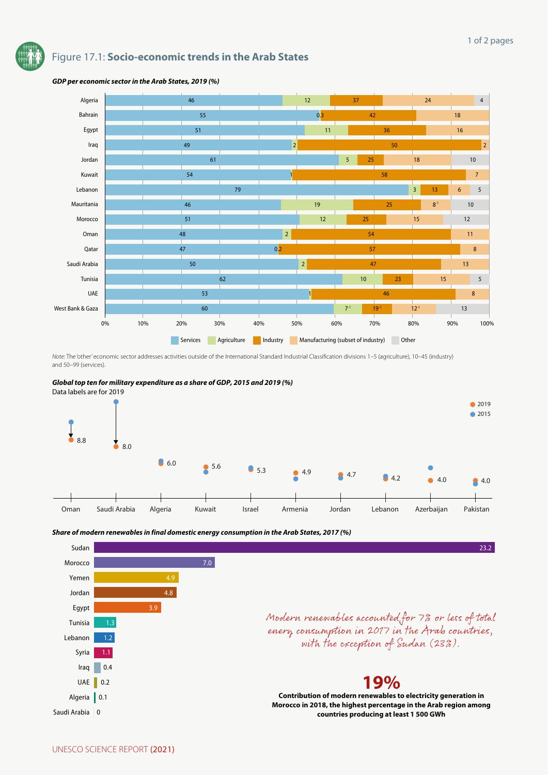# Figure 17.1: **Socio-economic trends in the Arab States**



### *GDP per economic sector in the Arab States, 2019 (%)*

*Note:* The 'other' economic sector addresses activities outside of the International Standard Industrial Classification divisions 1–5 (agriculture), 10–45 (industry) and 50–99 (services).





*Share of modern renewables in final domestic energy consumption in the Arab States, 2017 (%)*